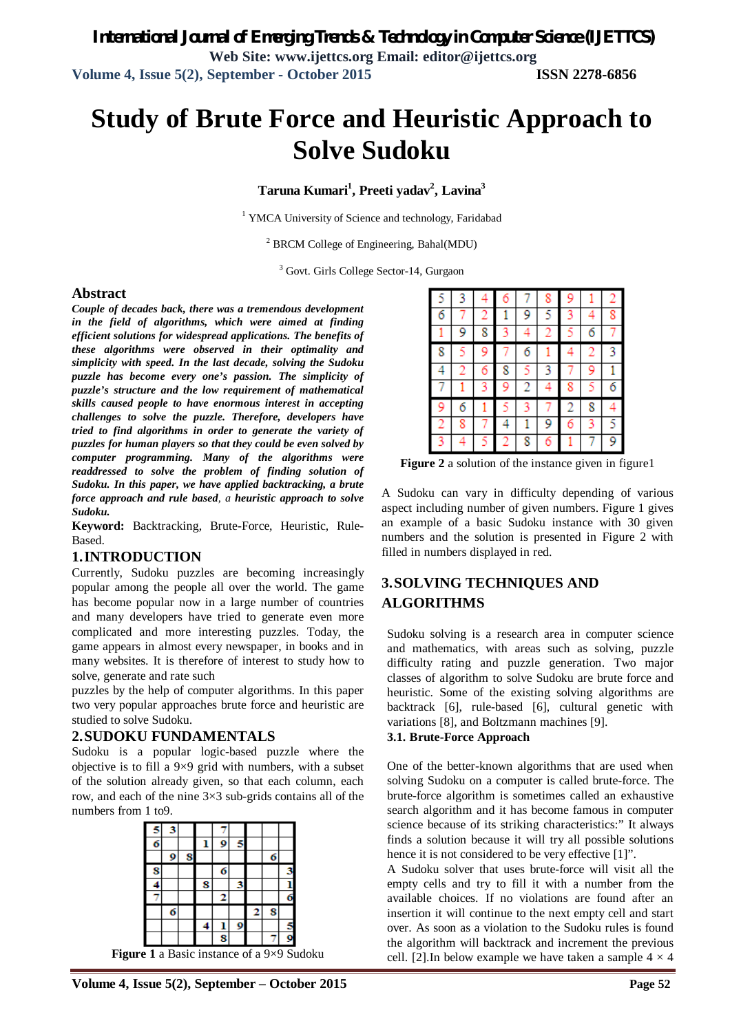# **Study of Brute Force and Heuristic Approach to Solve Sudoku**

**Taruna Kumari<sup>1</sup> , Preeti yadav<sup>2</sup> , Lavina<sup>3</sup>**

<sup>1</sup> YMCA University of Science and technology, Faridabad

 $<sup>2</sup>$  BRCM College of Engineering, Bahal(MDU)</sup>

<sup>3</sup> Govt. Girls College Sector-14, Gurgaon

#### **Abstract**

*Couple of decades back, there was a tremendous development in the field of algorithms, which were aimed at finding efficient solutions for widespread applications. The benefits of these algorithms were observed in their optimality and simplicity with speed. In the last decade, solving the Sudoku puzzle has become every one's passion. The simplicity of puzzle's structure and the low requirement of mathematical skills caused people to have enormous interest in accepting challenges to solve the puzzle. Therefore, developers have tried to find algorithms in order to generate the variety of puzzles for human players so that they could be even solved by computer programming. Many of the algorithms were readdressed to solve the problem of finding solution of Sudoku. In this paper, we have applied backtracking, a brute force approach and rule based, a heuristic approach to solve Sudoku.*

**Keyword:** Backtracking, Brute-Force, Heuristic, Rule-Based.

#### **1.INTRODUCTION**

Currently, Sudoku puzzles are becoming increasingly popular among the people all over the world. The game has become popular now in a large number of countries and many developers have tried to generate even more complicated and more interesting puzzles. Today, the game appears in almost every newspaper, in books and in many websites. It is therefore of interest to study how to solve, generate and rate such

puzzles by the help of computer algorithms. In this paper two very popular approaches brute force and heuristic are studied to solve Sudoku.

#### **2.SUDOKU FUNDAMENTALS**

Sudoku is a popular logic-based puzzle where the objective is to fill a 9×9 grid with numbers, with a subset of the solution already given, so that each column, each row, and each of the nine 3×3 sub-grids contains all of the numbers from 1 to9.

| б |   |   | 9 |   |   |   |   |
|---|---|---|---|---|---|---|---|
|   | 9 |   |   |   |   | б |   |
|   |   |   | б |   |   |   |   |
|   |   | 8 |   |   |   |   |   |
|   |   |   |   |   |   |   | б |
|   | б |   |   |   | 2 | 8 |   |
|   |   |   |   | g |   |   |   |
|   |   |   | Q |   |   |   | O |

**Figure 1** a Basic instance of a 9×9 Sudoku

|   |   |   | Ô |   | 8 |   |   |   |
|---|---|---|---|---|---|---|---|---|
| 6 |   |   |   | 9 |   |   |   |   |
|   | 9 | 8 |   |   |   |   | 6 |   |
| 8 |   | 9 |   | 6 |   |   |   | 3 |
| 4 |   |   | 8 |   | 3 |   | 9 |   |
|   |   |   | 9 | 2 | 4 | 8 |   | 6 |
|   | 6 |   |   |   |   | 2 | 8 |   |
|   | 8 |   | 4 |   | 9 |   |   |   |
|   | ₫ |   | 2 | 8 | 6 |   | 1 | 9 |

**Figure 2** a solution of the instance given in figure1

A Sudoku can vary in difficulty depending of various aspect including number of given numbers. Figure 1 gives an example of a basic Sudoku instance with 30 given numbers and the solution is presented in Figure 2 with filled in numbers displayed in red.

# **3.SOLVING TECHNIQUES AND ALGORITHMS**

Sudoku solving is a research area in computer science and mathematics, with areas such as solving, puzzle difficulty rating and puzzle generation. Two major classes of algorithm to solve Sudoku are brute force and heuristic. Some of the existing solving algorithms are backtrack [6], rule-based [6], cultural genetic with variations [8], and Boltzmann machines [9].

#### **3.1. Brute-Force Approach**

One of the better-known algorithms that are used when solving Sudoku on a computer is called brute-force. The brute-force algorithm is sometimes called an exhaustive search algorithm and it has become famous in computer science because of its striking characteristics:" It always finds a solution because it will try all possible solutions hence it is not considered to be very effective [1]".

A Sudoku solver that uses brute-force will visit all the empty cells and try to fill it with a number from the available choices. If no violations are found after an insertion it will continue to the next empty cell and start over. As soon as a violation to the Sudoku rules is found the algorithm will backtrack and increment the previous cell. [2]. In below example we have taken a sample  $4 \times 4$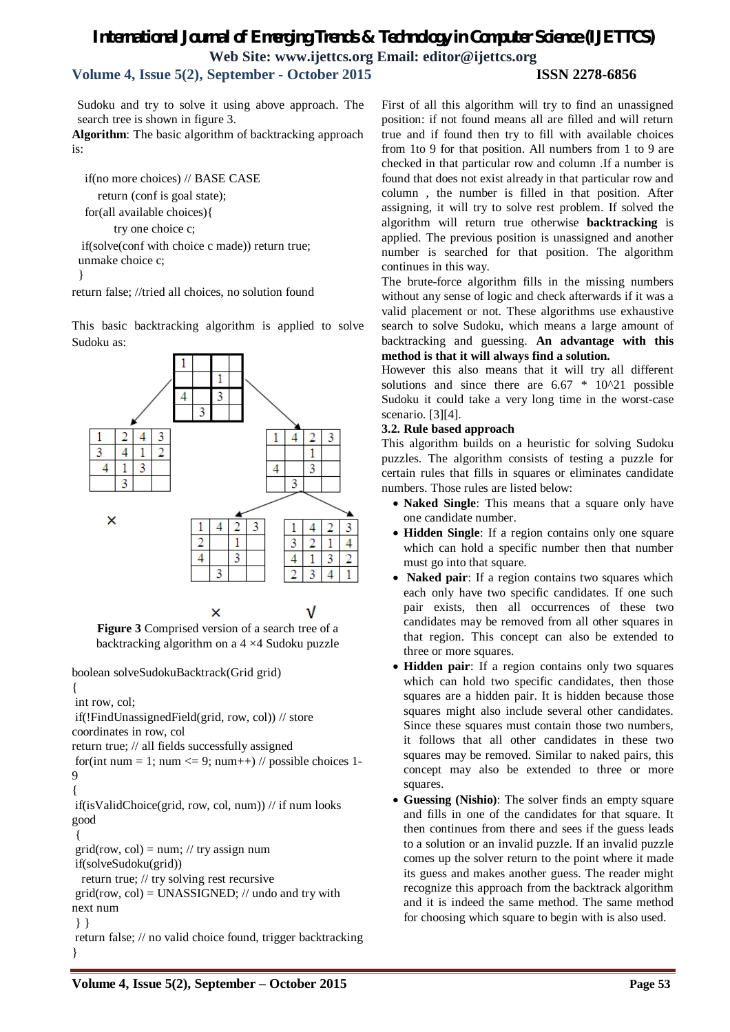# *International Journal of Emerging Trends & Technology in Computer Science (IJETTCS)* **Web Site: www.ijettcs.org Email: editor@ijettcs.org**

**Volume 4, Issue 5(2), September - October 2015 ISSN 2278-6856**

Sudoku and try to solve it using above approach. The search tree is shown in figure 3.

**Algorithm**: The basic algorithm of backtracking approach is:

 if(no more choices) // BASE CASE return (conf is goal state); for(all available choices){ try one choice c; if(solve(conf with choice c made)) return true; unmake choice c;

return false; //tried all choices, no solution found

This basic backtracking algorithm is applied to solve Sudoku as:



**Figure 3** Comprised version of a search tree of a backtracking algorithm on a 4 ×4 Sudoku puzzle

boolean solveSudokuBacktrack(Grid grid)

{

}

int row, col; if(!FindUnassignedField(grid, row, col)) // store

coordinates in row, col

return true; // all fields successfully assigned

for(int num = 1; num  $\leq$  9; num++) // possible choices 1- $\mathbf Q$ 

```
{
```
if(isValidChoice(grid, row, col, num)) // if num looks good

{

 $grid(row, col) = num; // try assign num$ 

if(solveSudoku(grid))

return true; // try solving rest recursive

 $grid(row, col) = UNASSIGNED$ ; // undo and try with next num

} }

return false; // no valid choice found, trigger backtracking }

First of all this algorithm will try to find an unassigned position: if not found means all are filled and will return true and if found then try to fill with available choices from 1to 9 for that position. All numbers from 1 to 9 are checked in that particular row and column .If a number is found that does not exist already in that particular row and column , the number is filled in that position. After assigning, it will try to solve rest problem. If solved the algorithm will return true otherwise **backtracking** is applied. The previous position is unassigned and another number is searched for that position. The algorithm continues in this way.

The brute-force algorithm fills in the missing numbers without any sense of logic and check afterwards if it was a valid placement or not. These algorithms use exhaustive search to solve Sudoku, which means a large amount of backtracking and guessing. **An advantage with this method is that it will always find a solution.**

However this also means that it will try all different solutions and since there are  $6.67 * 10^2$  possible Sudoku it could take a very long time in the worst-case scenario. [3][4].

#### **3.2. Rule based approach**

This algorithm builds on a heuristic for solving Sudoku puzzles. The algorithm consists of testing a puzzle for certain rules that fills in squares or eliminates candidate numbers. Those rules are listed below:

- **Naked Single**: This means that a square only have one candidate number.
- **Hidden Single**: If a region contains only one square which can hold a specific number then that number must go into that square.
- **Naked pair**: If a region contains two squares which each only have two specific candidates. If one such pair exists, then all occurrences of these two candidates may be removed from all other squares in that region. This concept can also be extended to three or more squares.
- **Hidden pair**: If a region contains only two squares which can hold two specific candidates, then those squares are a hidden pair. It is hidden because those squares might also include several other candidates. Since these squares must contain those two numbers, it follows that all other candidates in these two squares may be removed. Similar to naked pairs, this concept may also be extended to three or more squares.
- **Guessing (Nishio)**: The solver finds an empty square and fills in one of the candidates for that square. It then continues from there and sees if the guess leads to a solution or an invalid puzzle. If an invalid puzzle comes up the solver return to the point where it made its guess and makes another guess. The reader might recognize this approach from the backtrack algorithm and it is indeed the same method. The same method for choosing which square to begin with is also used.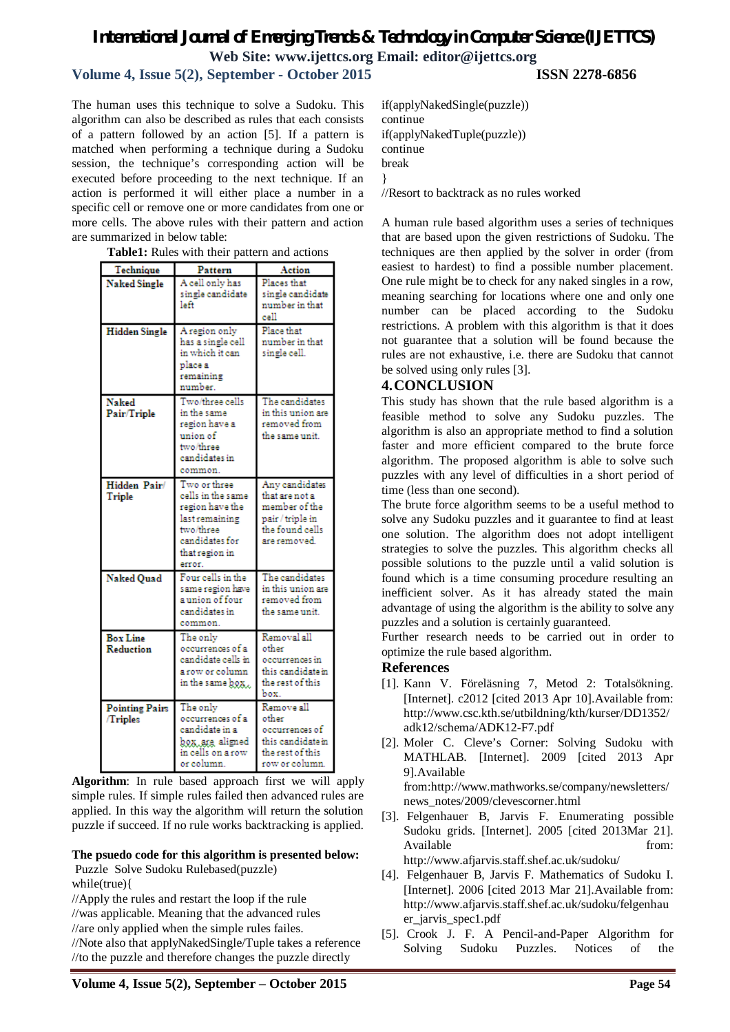# *International Journal of Emerging Trends & Technology in Computer Science (IJETTCS)* **Web Site: www.ijettcs.org Email: editor@ijettcs.org**

## **Volume 4, Issue 5(2), September - October 2015 ISSN 2278-6856**

The human uses this technique to solve a Sudoku. This algorithm can also be described as rules that each consists of a pattern followed by an action [5]. If a pattern is matched when performing a technique during a Sudoku session, the technique's corresponding action will be executed before proceeding to the next technique. If an action is performed it will either place a number in a specific cell or remove one or more candidates from one or more cells. The above rules with their pattern and action are summarized in below table:

| Table1: Rules with their pattern and actions |  |  |  |  |  |  |
|----------------------------------------------|--|--|--|--|--|--|
|----------------------------------------------|--|--|--|--|--|--|

| Technique                               | Pattern                                                                                                                           | Action                                                                                                   |
|-----------------------------------------|-----------------------------------------------------------------------------------------------------------------------------------|----------------------------------------------------------------------------------------------------------|
| <b>Naked Single</b>                     | A cell only has<br>single candidate<br>left                                                                                       | Places that<br>single candidate<br>number in that<br>cell                                                |
| <b>Hidden Single</b>                    | A region only<br>has a single cell<br>in which it can<br>place a<br>remaining<br>number.                                          | Place that<br>number in that<br>single cell.                                                             |
| Naked<br>Pair/Triple                    | Two/three cells<br>in the same<br>region have a<br>union of<br>two/three<br>candidates in<br>common.                              | The candidates<br>in this union are<br>removed from<br>the same unit.                                    |
| Hidden Pair/<br>Triple                  | Two or three<br>cells in the same<br>region have the<br>last remaining<br>two/three<br>candidates for<br>that region in<br>error. | Any candidates<br>that are not a<br>member of the<br>pair / triple in<br>the found cells<br>are removed. |
| Naked Quad                              | Four cells in the<br>same region have<br>a union of four<br>candidates in<br>common.                                              | The candidates<br>in this union are<br>removed from<br>the same unit.                                    |
| <b>Box Line</b><br><b>Reduction</b>     | The only<br>occurrences of a<br>candidate cells in<br>a row or column<br>in the same <b>box.</b>                                  | Removal all<br>other<br>occurrences in<br>this candidate in<br>the rest of this<br>box.                  |
| <b>Pointing Pairs</b><br><b>Triples</b> | The only<br>occurrences of a<br>candidate in a<br>box, ara aligned<br>in cells on a row<br>or column.                             | Remove all<br>other<br>occurrences of<br>this candidate in<br>the rest of this<br>row or column.         |

**Algorithm**: In rule based approach first we will apply simple rules. If simple rules failed then advanced rules are applied. In this way the algorithm will return the solution puzzle if succeed. If no rule works backtracking is applied.

#### **The psuedo code for this algorithm is presented below:** Puzzle Solve Sudoku Rulebased(puzzle)

while(true){

//Apply the rules and restart the loop if the rule

//was applicable. Meaning that the advanced rules

//are only applied when the simple rules failes.

//Note also that applyNakedSingle/Tuple takes a reference //to the puzzle and therefore changes the puzzle directly

if(applyNakedSingle(puzzle)) continue if(applyNakedTuple(puzzle)) continue break }

//Resort to backtrack as no rules worked

A human rule based algorithm uses a series of techniques that are based upon the given restrictions of Sudoku. The techniques are then applied by the solver in order (from easiest to hardest) to find a possible number placement. One rule might be to check for any naked singles in a row, meaning searching for locations where one and only one number can be placed according to the Sudoku restrictions. A problem with this algorithm is that it does not guarantee that a solution will be found because the rules are not exhaustive, i.e. there are Sudoku that cannot be solved using only rules [3].

## **4.CONCLUSION**

This study has shown that the rule based algorithm is a feasible method to solve any Sudoku puzzles. The algorithm is also an appropriate method to find a solution faster and more efficient compared to the brute force algorithm. The proposed algorithm is able to solve such puzzles with any level of difficulties in a short period of time (less than one second).

The brute force algorithm seems to be a useful method to solve any Sudoku puzzles and it guarantee to find at least one solution. The algorithm does not adopt intelligent strategies to solve the puzzles. This algorithm checks all possible solutions to the puzzle until a valid solution is found which is a time consuming procedure resulting an inefficient solver. As it has already stated the main advantage of using the algorithm is the ability to solve any puzzles and a solution is certainly guaranteed.

Further research needs to be carried out in order to optimize the rule based algorithm.

#### **References**

- [1]. Kann V. Föreläsning 7, Metod 2: Totalsökning. [Internet]. c2012 [cited 2013 Apr 10]. Available from: http://www.csc.kth.se/utbildning/kth/kurser/DD1352/ adk12/schema/ADK12-F7.pdf
- [2]. Moler C. Cleve's Corner: Solving Sudoku with MATHLAB. [Internet]. 2009 [cited 2013 Apr 9].Available from:http://www.mathworks.se/company/newsletters/ news\_notes/2009/clevescorner.html
- [3]. Felgenhauer B, Jarvis F. Enumerating possible Sudoku grids. [Internet]. 2005 [cited 2013Mar 21]. Available from:

http://www.afjarvis.staff.shef.ac.uk/sudoku/

- [4]. Felgenhauer B, Jarvis F. Mathematics of Sudoku I. [Internet]. 2006 [cited 2013 Mar 21].Available from: http://www.afjarvis.staff.shef.ac.uk/sudoku/felgenhau er\_jarvis\_spec1.pdf
- [5]. Crook J. F. A Pencil-and-Paper Algorithm for Solving Sudoku Puzzles. Notices of the